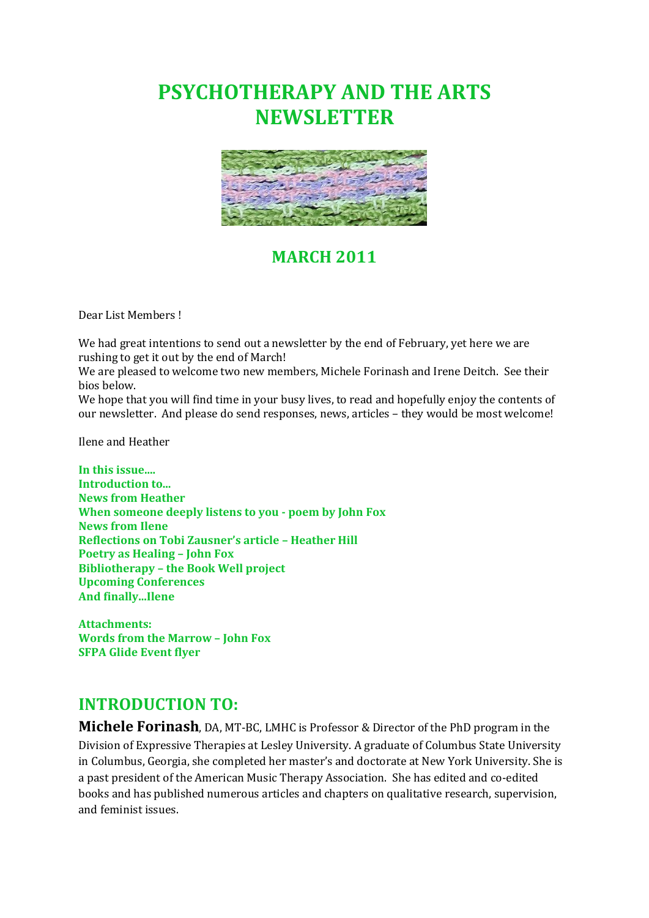# **PSYCHOTHERAPY AND THE ARTS NEWSLETTER**



## **MARCH 2011**

Dear List Members !

We had great intentions to send out a newsletter by the end of February, yet here we are rushing to get it out by the end of March!

We are pleased to welcome two new members, Michele Forinash and Irene Deitch. See their bios below.

We hope that you will find time in your busy lives, to read and hopefully enjoy the contents of our newsletter. And please do send responses, news, articles – they would be most welcome!

Ilene and Heather

**In this issue.... Introduction to... News from Heather When someone deeply listens to you - poem by John Fox News from Ilene Reflections on Tobi Zausner's article – Heather Hill Poetry as Healing – John Fox Bibliotherapy – the Book Well project Upcoming Conferences And finally...Ilene** 

**Attachments: Words from the Marrow – John Fox SFPA Glide Event flyer** 

## **INTRODUCTION TO:**

**Michele Forinash**, DA, MT-BC, LMHC is Professor & Director of the PhD program in the Division of Expressive Therapies at Lesley University. A graduate of Columbus State University in Columbus, Georgia, she completed her master's and doctorate at New York University. She is a past president of the American Music Therapy Association. She has edited and co-edited books and has published numerous articles and chapters on qualitative research, supervision, and feminist issues.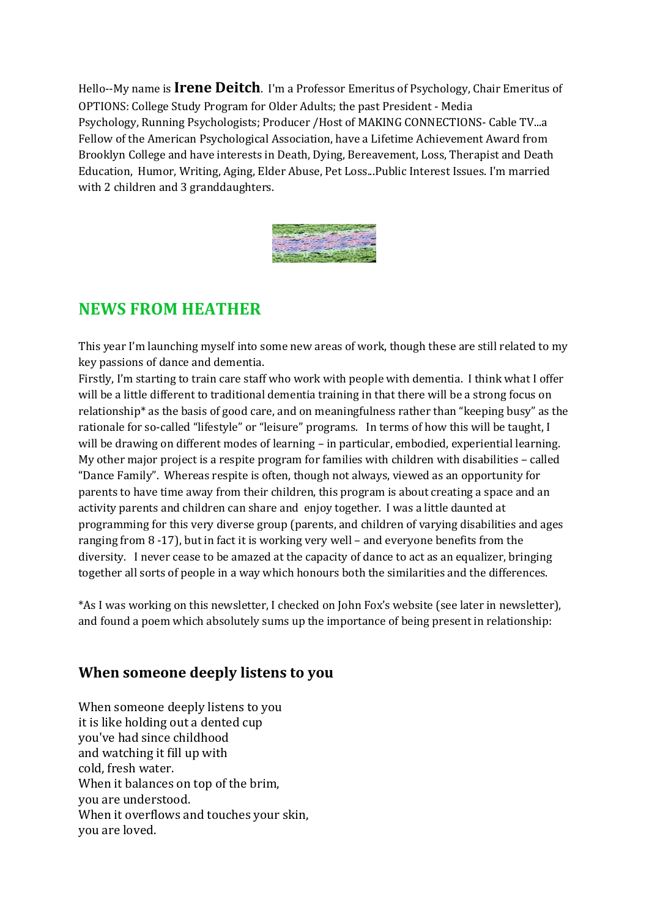Hello--My name is **Irene Deitch**. I'm a Professor Emeritus of Psychology, Chair Emeritus of OPTIONS: College Study Program for Older Adults; the past President - Media Psychology, Running Psychologists; Producer /Host of MAKING CONNECTIONS- Cable TV...a Fellow of the American Psychological Association, have a Lifetime Achievement Award from Brooklyn College and have interests in Death, Dying, Bereavement, Loss, Therapist and Death Education, Humor, Writing, Aging, Elder Abuse, Pet Loss...Public Interest Issues. I'm married with 2 children and 3 granddaughters.



## **NEWS FROM HEATHER**

This year I'm launching myself into some new areas of work, though these are still related to my key passions of dance and dementia.

Firstly, I'm starting to train care staff who work with people with dementia. I think what I offer will be a little different to traditional dementia training in that there will be a strong focus on relationship\* as the basis of good care, and on meaningfulness rather than "keeping busy" as the rationale for so-called "lifestyle" or "leisure" programs. In terms of how this will be taught, I will be drawing on different modes of learning – in particular, embodied, experiential learning. My other major project is a respite program for families with children with disabilities – called "Dance Family". Whereas respite is often, though not always, viewed as an opportunity for parents to have time away from their children, this program is about creating a space and an activity parents and children can share and enjoy together. I was a little daunted at programming for this very diverse group (parents, and children of varying disabilities and ages ranging from 8 -17), but in fact it is working very well – and everyone benefits from the diversity. I never cease to be amazed at the capacity of dance to act as an equalizer, bringing together all sorts of people in a way which honours both the similarities and the differences.

\*As I was working on this newsletter, I checked on John Fox's website (see later in newsletter), and found a poem which absolutely sums up the importance of being present in relationship:

### **When someone deeply listens to you**

When someone deeply listens to you it is like holding out a dented cup you've had since childhood and watching it fill up with cold, fresh water. When it balances on top of the brim, you are understood. When it overflows and touches your skin, you are loved.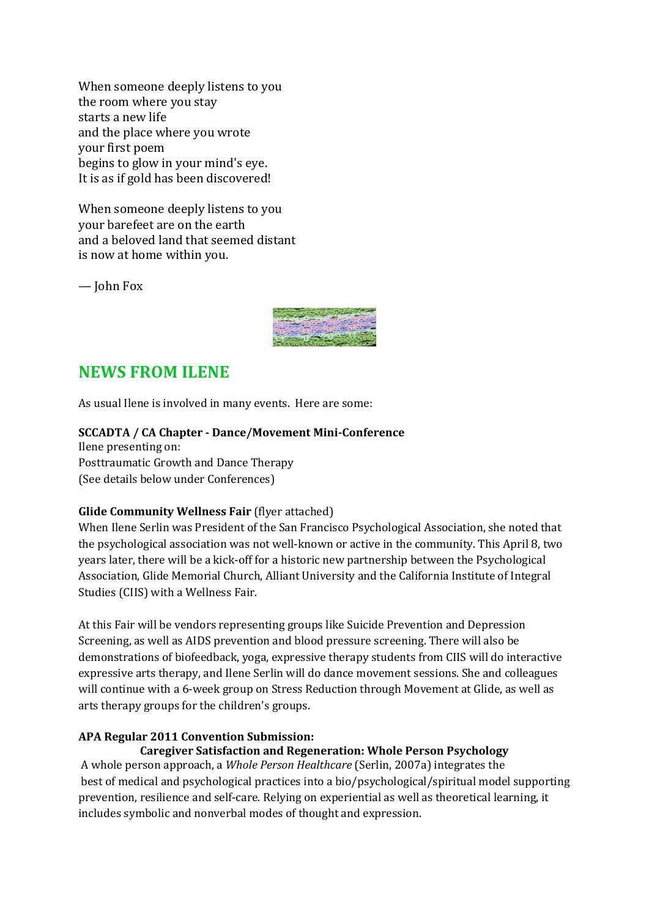When someone deeply listens to you the room where you stay starts a new life and the place where you wrote your first poem begins to glow in your mind's eye. It is as if gold has been discovered!

When someone deeply listens to you your barefeet are on the earth and a beloved land that seemed distant is now at home within you.

— John Fox



## **NEWS FROM ILENE**

As usual Ilene is involved in many events. Here are some:

#### **SCCADTA / CA Chapter - Dance/Movement Mini-Conference**

Ilene presenting on: Posttraumatic Growth and Dance Therapy (See details below under Conferences)

#### **Glide Community Wellness Fair** (flyer attached)

When Ilene Serlin was President of the San Francisco Psychological Association, she noted that the psychological association was not well-known or active in the community. This April 8, two years later, there will be a kick-off for a historic new partnership between the Psychological Association, Glide Memorial Church, Alliant University and the California Institute of Integral Studies (CIIS) with a Wellness Fair.

At this Fair will be vendors representing groups like Suicide Prevention and Depression Screening, as well as AIDS prevention and blood pressure screening. There will also be demonstrations of biofeedback, yoga, expressive therapy students from CIIS will do interactive expressive arts therapy, and Ilene Serlin will do dance movement sessions. She and colleagues will continue with a 6-week group on Stress Reduction through Movement at Glide, as well as arts therapy groups for the children's groups.

#### **APA Regular 2011 Convention Submission:**

#### **Caregiver Satisfaction and Regeneration: Whole Person Psychology**

 A whole person approach, a *Whole Person Healthcare* (Serlin, 2007a) integrates the best of medical and psychological practices into a bio/psychological/spiritual model supporting prevention, resilience and self-care. Relying on experiential as well as theoretical learning, it includes symbolic and nonverbal modes of thought and expression.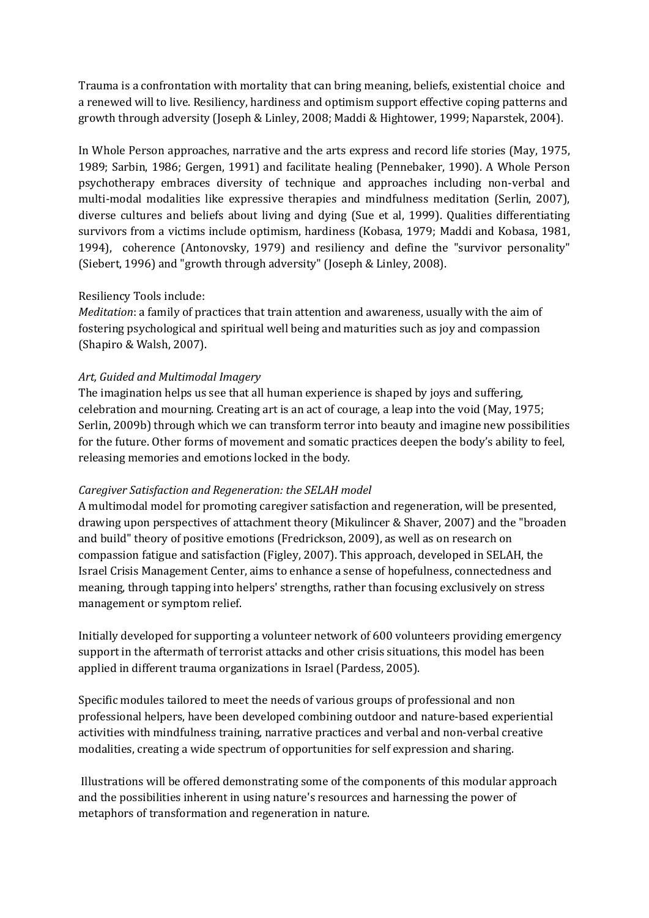Trauma is a confrontation with mortality that can bring meaning, beliefs, existential choice and a renewed will to live. Resiliency, hardiness and optimism support effective coping patterns and growth through adversity (Joseph & Linley, 2008; Maddi & Hightower, 1999; Naparstek, 2004).

In Whole Person approaches, narrative and the arts express and record life stories (May, 1975, 1989; Sarbin, 1986; Gergen, 1991) and facilitate healing (Pennebaker, 1990). A Whole Person psychotherapy embraces diversity of technique and approaches including non-verbal and multi-modal modalities like expressive therapies and mindfulness meditation (Serlin, 2007), diverse cultures and beliefs about living and dying (Sue et al, 1999). Qualities differentiating survivors from a victims include optimism, hardiness (Kobasa, 1979; Maddi and Kobasa, 1981, 1994), coherence (Antonovsky, 1979) and resiliency and define the "survivor personality" (Siebert, 1996) and "growth through adversity" (Joseph & Linley, 2008).

#### Resiliency Tools include:

*Meditation*: a family of practices that train attention and awareness, usually with the aim of fostering psychological and spiritual well being and maturities such as joy and compassion (Shapiro & Walsh, 2007).

#### *Art, Guided and Multimodal Imagery*

The imagination helps us see that all human experience is shaped by joys and suffering, celebration and mourning. Creating art is an act of courage, a leap into the void (May, 1975; Serlin, 2009b) through which we can transform terror into beauty and imagine new possibilities for the future. Other forms of movement and somatic practices deepen the body's ability to feel, releasing memories and emotions locked in the body.

#### *Caregiver Satisfaction and Regeneration: the SELAH model*

A multimodal model for promoting caregiver satisfaction and regeneration, will be presented, drawing upon perspectives of attachment theory (Mikulincer & Shaver, 2007) and the "broaden and build" theory of positive emotions (Fredrickson, 2009), as well as on research on compassion fatigue and satisfaction (Figley, 2007). This approach, developed in SELAH, the Israel Crisis Management Center, aims to enhance a sense of hopefulness, connectedness and meaning, through tapping into helpers' strengths, rather than focusing exclusively on stress management or symptom relief.

Initially developed for supporting a volunteer network of 600 volunteers providing emergency support in the aftermath of terrorist attacks and other crisis situations, this model has been applied in different trauma organizations in Israel (Pardess, 2005).

Specific modules tailored to meet the needs of various groups of professional and non professional helpers, have been developed combining outdoor and nature-based experiential activities with mindfulness training, narrative practices and verbal and non-verbal creative modalities, creating a wide spectrum of opportunities for self expression and sharing.

 Illustrations will be offered demonstrating some of the components of this modular approach and the possibilities inherent in using nature's resources and harnessing the power of metaphors of transformation and regeneration in nature.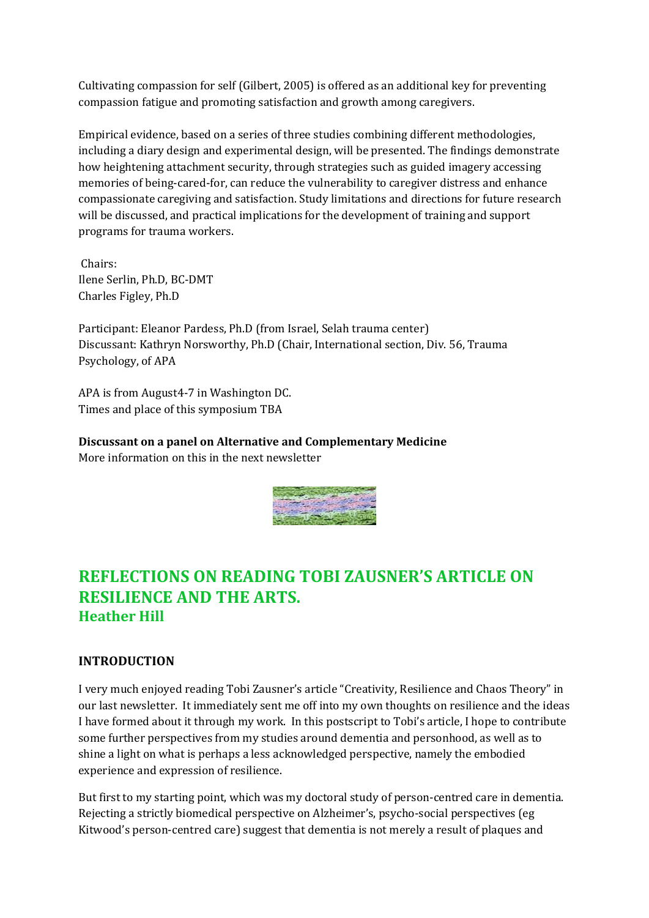Cultivating compassion for self (Gilbert, 2005) is offered as an additional key for preventing compassion fatigue and promoting satisfaction and growth among caregivers.

Empirical evidence, based on a series of three studies combining different methodologies, including a diary design and experimental design, will be presented. The findings demonstrate how heightening attachment security, through strategies such as guided imagery accessing memories of being-cared-for, can reduce the vulnerability to caregiver distress and enhance compassionate caregiving and satisfaction. Study limitations and directions for future research will be discussed, and practical implications for the development of training and support programs for trauma workers.

 Chairs: Ilene Serlin, Ph.D, BC-DMT Charles Figley, Ph.D

Participant: Eleanor Pardess, Ph.D (from Israel, Selah trauma center) Discussant: Kathryn Norsworthy, Ph.D (Chair, International section, Div. 56, Trauma Psychology, of APA

APA is from August4-7 in Washington DC. Times and place of this symposium TBA

**Discussant on a panel on Alternative and Complementary Medicine** More information on this in the next newsletter



## **REFLECTIONS ON READING TOBI ZAUSNER'S ARTICLE ON RESILIENCE AND THE ARTS. Heather Hill**

### **INTRODUCTION**

I very much enjoyed reading Tobi Zausner's article "Creativity, Resilience and Chaos Theory" in our last newsletter. It immediately sent me off into my own thoughts on resilience and the ideas I have formed about it through my work. In this postscript to Tobi's article, I hope to contribute some further perspectives from my studies around dementia and personhood, as well as to shine a light on what is perhaps a less acknowledged perspective, namely the embodied experience and expression of resilience.

But first to my starting point, which was my doctoral study of person-centred care in dementia. Rejecting a strictly biomedical perspective on Alzheimer's, psycho-social perspectives (eg Kitwood's person-centred care) suggest that dementia is not merely a result of plaques and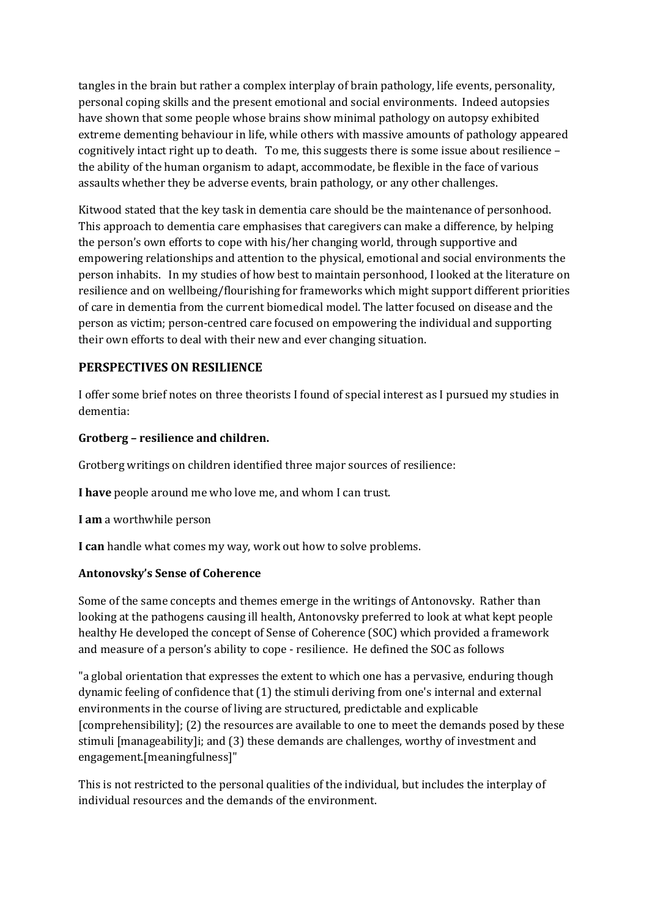tangles in the brain but rather a complex interplay of brain pathology, life events, personality, personal coping skills and the present emotional and social environments. Indeed autopsies have shown that some people whose brains show minimal pathology on autopsy exhibited extreme dementing behaviour in life, while others with massive amounts of pathology appeared cognitively intact right up to death. To me, this suggests there is some issue about resilience – the ability of the human organism to adapt, accommodate, be flexible in the face of various assaults whether they be adverse events, brain pathology, or any other challenges.

Kitwood stated that the key task in dementia care should be the maintenance of personhood. This approach to dementia care emphasises that caregivers can make a difference, by helping the person's own efforts to cope with his/her changing world, through supportive and empowering relationships and attention to the physical, emotional and social environments the person inhabits. In my studies of how best to maintain personhood, I looked at the literature on resilience and on wellbeing/flourishing for frameworks which might support different priorities of care in dementia from the current biomedical model. The latter focused on disease and the person as victim; person-centred care focused on empowering the individual and supporting their own efforts to deal with their new and ever changing situation.

### **PERSPECTIVES ON RESILIENCE**

I offer some brief notes on three theorists I found of special interest as I pursued my studies in dementia:

#### **Grotberg – resilience and children.**

Grotberg writings on children identified three major sources of resilience:

**I have** people around me who love me, and whom I can trust.

**I am** a worthwhile person

**I can** handle what comes my way, work out how to solve problems.

#### **Antonovsky's Sense of Coherence**

Some of the same concepts and themes emerge in the writings of Antonovsky. Rather than looking at the pathogens causing ill health, Antonovsky preferred to look at what kept people healthy He developed the concept of Sense of Coherence (SOC) which provided a framework and measure of a person's ability to cope - resilience. He defined the SOC as follows

"a global orientation that expresses the extent to which one has a pervasive, enduring though dynamic feeling of confidence that (1) the stimuli deriving from one's internal and external environments in the course of living are structured, predictable and explicable [comprehensibility]; (2) the resources are available to one to meet the demands posed by these stimuli [manageability]i; and (3) these demands are challenges, worthy of investment and engagement.[meaningfulness]"

This is not restricted to the personal qualities of the individual, but includes the interplay of individual resources and the demands of the environment.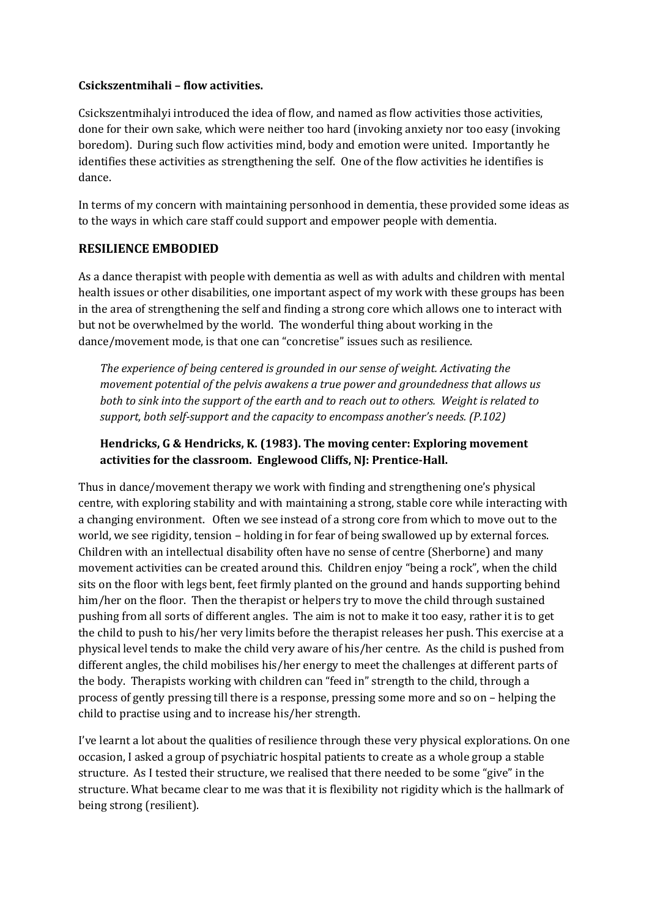#### **Csickszentmihali – flow activities.**

Csickszentmihalyi introduced the idea of flow, and named as flow activities those activities, done for their own sake, which were neither too hard (invoking anxiety nor too easy (invoking boredom). During such flow activities mind, body and emotion were united. Importantly he identifies these activities as strengthening the self. One of the flow activities he identifies is dance.

In terms of my concern with maintaining personhood in dementia, these provided some ideas as to the ways in which care staff could support and empower people with dementia.

### **RESILIENCE EMBODIED**

As a dance therapist with people with dementia as well as with adults and children with mental health issues or other disabilities, one important aspect of my work with these groups has been in the area of strengthening the self and finding a strong core which allows one to interact with but not be overwhelmed by the world. The wonderful thing about working in the dance/movement mode, is that one can "concretise" issues such as resilience.

*The experience of being centered is grounded in our sense of weight. Activating the movement potential of the pelvis awakens a true power and groundedness that allows us both to sink into the support of the earth and to reach out to others. Weight is related to support, both self-support and the capacity to encompass another's needs. (P.102)* 

### **Hendricks, G & Hendricks, K. (1983). The moving center: Exploring movement activities for the classroom. Englewood Cliffs, NJ: Prentice-Hall.**

Thus in dance/movement therapy we work with finding and strengthening one's physical centre, with exploring stability and with maintaining a strong, stable core while interacting with a changing environment. Often we see instead of a strong core from which to move out to the world, we see rigidity, tension – holding in for fear of being swallowed up by external forces. Children with an intellectual disability often have no sense of centre (Sherborne) and many movement activities can be created around this. Children enjoy "being a rock", when the child sits on the floor with legs bent, feet firmly planted on the ground and hands supporting behind him/her on the floor. Then the therapist or helpers try to move the child through sustained pushing from all sorts of different angles. The aim is not to make it too easy, rather it is to get the child to push to his/her very limits before the therapist releases her push. This exercise at a physical level tends to make the child very aware of his/her centre. As the child is pushed from different angles, the child mobilises his/her energy to meet the challenges at different parts of the body. Therapists working with children can "feed in" strength to the child, through a process of gently pressing till there is a response, pressing some more and so on – helping the child to practise using and to increase his/her strength.

I've learnt a lot about the qualities of resilience through these very physical explorations. On one occasion, I asked a group of psychiatric hospital patients to create as a whole group a stable structure. As I tested their structure, we realised that there needed to be some "give" in the structure. What became clear to me was that it is flexibility not rigidity which is the hallmark of being strong (resilient).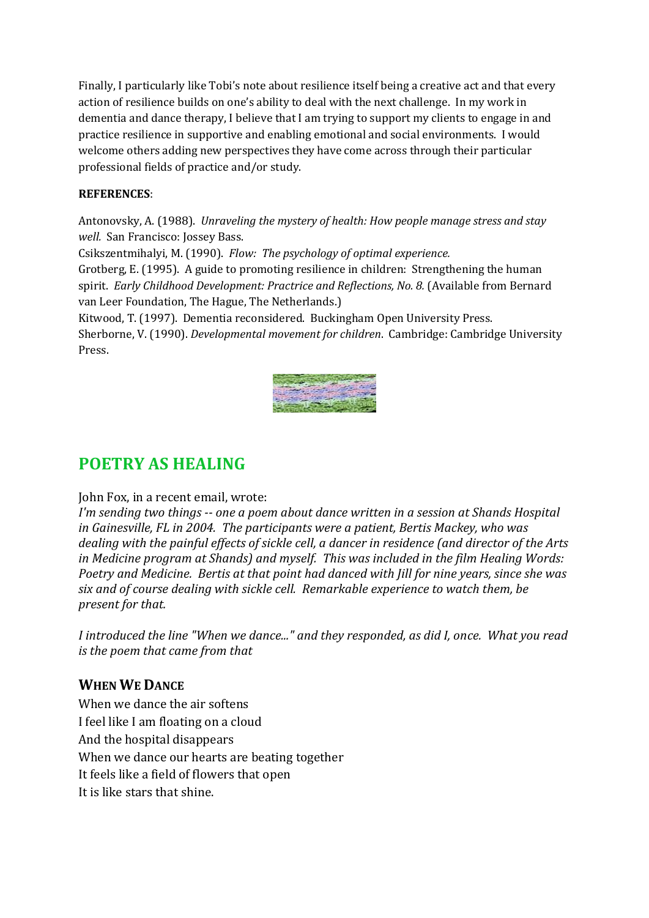Finally, I particularly like Tobi's note about resilience itself being a creative act and that every action of resilience builds on one's ability to deal with the next challenge. In my work in dementia and dance therapy, I believe that I am trying to support my clients to engage in and practice resilience in supportive and enabling emotional and social environments. I would welcome others adding new perspectives they have come across through their particular professional fields of practice and/or study.

#### **REFERENCES**:

Antonovsky, A. (1988). *Unraveling the mystery of health: How people manage stress and stay well.* San Francisco: Jossey Bass.

Csikszentmihalyi, M. (1990). *Flow: The psychology of optimal experience.* 

Grotberg, E. (1995). A guide to promoting resilience in children: Strengthening the human spirit. *Early Childhood Development: Practrice and Reflections, No. 8.* (Available from Bernard van Leer Foundation, The Hague, The Netherlands.)

Kitwood, T. (1997). Dementia reconsidered. Buckingham Open University Press. Sherborne, V. (1990). *Developmental movement for children*. Cambridge: Cambridge University Press.



## **POETRY AS HEALING**

### John Fox, in a recent email, wrote:

*I'm sending two things -- one a poem about dance written in a session at Shands Hospital in Gainesville, FL in 2004. The participants were a patient, Bertis Mackey, who was dealing with the painful effects of sickle cell, a dancer in residence (and director of the Arts in Medicine program at Shands) and myself. This was included in the film Healing Words: Poetry and Medicine. Bertis at that point had danced with Jill for nine years, since she was six and of course dealing with sickle cell. Remarkable experience to watch them, be present for that.* 

*I introduced the line "When we dance..." and they responded, as did I, once. What you read is the poem that came from that* 

### **WHEN WE DANCE**

When we dance the air softens I feel like I am floating on a cloud And the hospital disappears When we dance our hearts are beating together It feels like a field of flowers that open It is like stars that shine.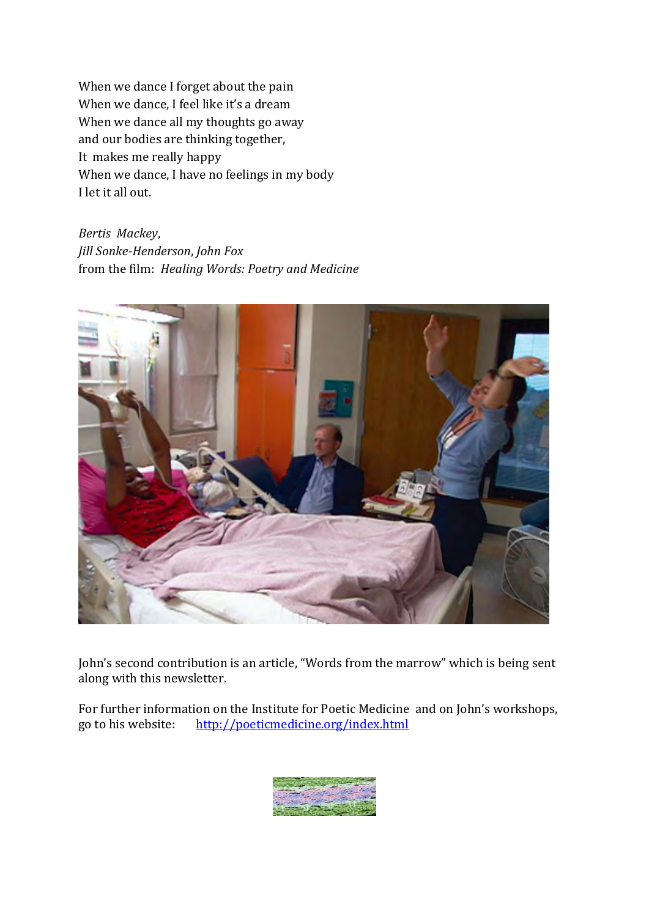When we dance I forget about the pain When we dance, I feel like it's a dream When we dance all my thoughts go away and our bodies are thinking together, It makes me really happy When we dance, I have no feelings in my body I let it all out.

*Bertis Mackey*, *Jill Sonke-Henderson*, *John Fox* from the film: *Healing Words: Poetry and Medicine* 



John's second contribution is an article, "Words from the marrow" which is being sent along with this newsletter.

For further information on the Institute for Poetic Medicine and on John's workshops, go to his website: <http://poeticmedicine.org/index.html>

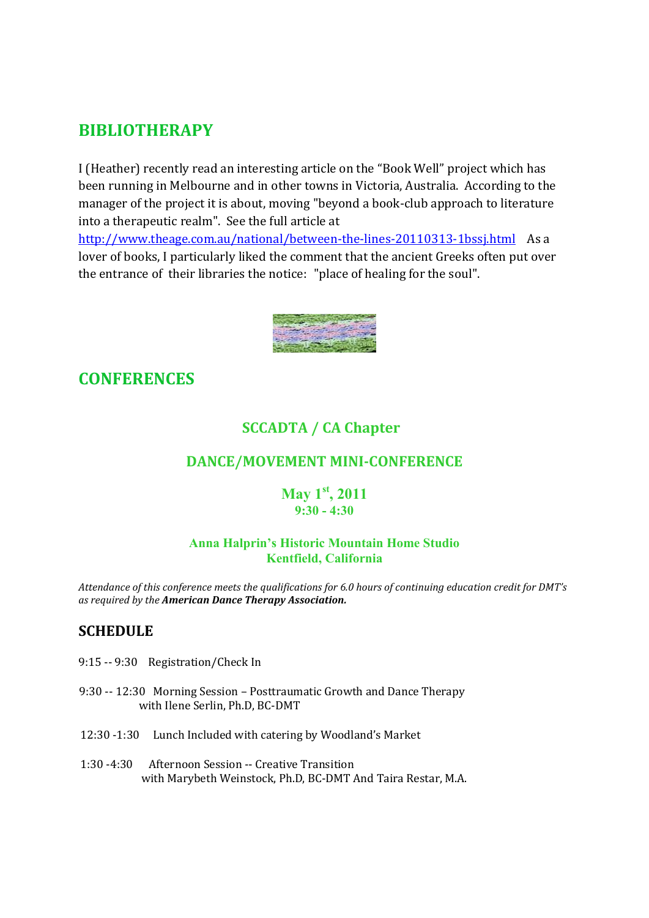## **BIBLIOTHERAPY**

I (Heather) recently read an interesting article on the "Book Well" project which has been running in Melbourne and in other towns in Victoria, Australia. According to the manager of the project it is about, moving "beyond a book-club approach to literature into a therapeutic realm". See the full article at

<http://www.theage.com.au/national/between-the-lines-20110313-1bssj.html>As a lover of books, I particularly liked the comment that the ancient Greeks often put over the entrance of their libraries the notice: "place of healing for the soul".



## **CONFERENCES**

## **SCCADTA / CA Chapter**

### **DANCE/MOVEMENT MINI-CONFERENCE**

### **May 1st, 2011 9:30 - 4:30**

#### **Anna Halprin's Historic Mountain Home Studio Kentfield, California**

*Attendance of this conference meets the qualifications for 6.0 hours of continuing education credit for DMT's as required by the American Dance Therapy Association.* 

### **SCHEDULE**

- 9:15 -- 9:30 Registration/Check In
- 9:30 -- 12:30 Morning Session Posttraumatic Growth and Dance Therapy with Ilene Serlin, Ph.D, BC-DMT
- 12:30 -1:30 Lunch Included with catering by Woodland's Market
- 1:30 -4:30 Afternoon Session -- Creative Transition with Marybeth Weinstock, Ph.D, BC-DMT And Taira Restar, M.A.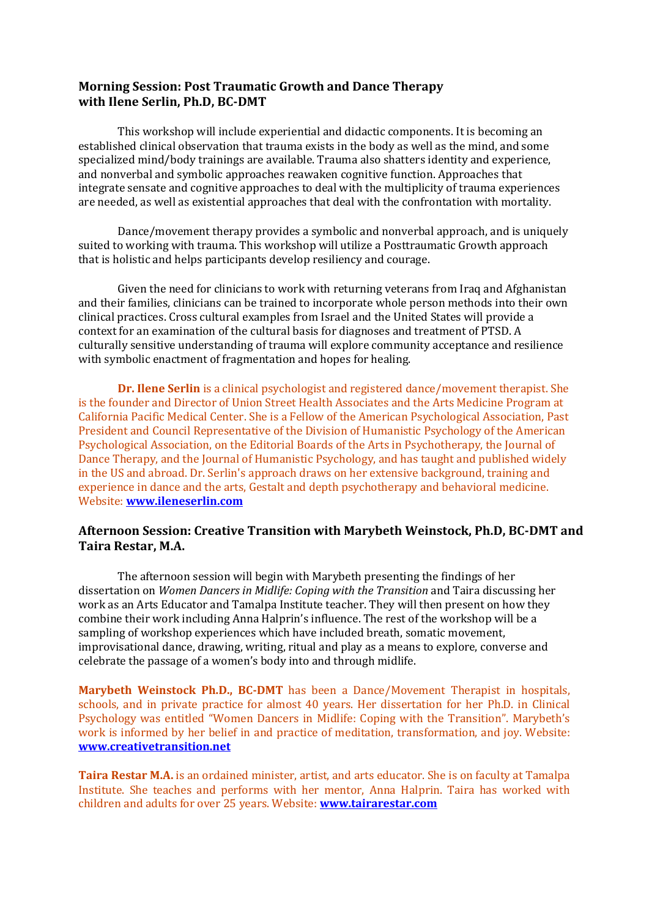#### **Morning Session: Post Traumatic Growth and Dance Therapy with Ilene Serlin, Ph.D, BC-DMT**

This workshop will include experiential and didactic components. It is becoming an established clinical observation that trauma exists in the body as well as the mind, and some specialized mind/body trainings are available. Trauma also shatters identity and experience, and nonverbal and symbolic approaches reawaken cognitive function. Approaches that integrate sensate and cognitive approaches to deal with the multiplicity of trauma experiences are needed, as well as existential approaches that deal with the confrontation with mortality.

Dance/movement therapy provides a symbolic and nonverbal approach, and is uniquely suited to working with trauma. This workshop will utilize a Posttraumatic Growth approach that is holistic and helps participants develop resiliency and courage.

Given the need for clinicians to work with returning veterans from Iraq and Afghanistan and their families, clinicians can be trained to incorporate whole person methods into their own clinical practices. Cross cultural examples from Israel and the United States will provide a context for an examination of the cultural basis for diagnoses and treatment of PTSD. A culturally sensitive understanding of trauma will explore community acceptance and resilience with symbolic enactment of fragmentation and hopes for healing.

**Dr. Ilene Serlin** is a clinical psychologist and registered dance/movement therapist. She is the founder and Director of Union Street Health Associates and the Arts Medicine Program at California Pacific Medical Center. She is a Fellow of the American Psychological Association, Past President and Council Representative of the Division of Humanistic Psychology of the American Psychological Association, on the Editorial Boards of the Arts in Psychotherapy, the Journal of Dance Therapy, and the Journal of Humanistic Psychology, and has taught and published widely in the US and abroad. Dr. Serlin's approach draws on her extensive background, training and experience in dance and the arts, Gestalt and depth psychotherapy and behavioral medicine. Website: **[www.ileneserlin.com](http://www.ileneserlin.com/)**

#### **Afternoon Session: Creative Transition with Marybeth Weinstock, Ph.D, BC-DMT and Taira Restar, M.A.**

The afternoon session will begin with Marybeth presenting the findings of her dissertation on *Women Dancers in Midlife: Coping with the Transition* and Taira discussing her work as an Arts Educator and Tamalpa Institute teacher. They will then present on how they combine their work including Anna Halprin's influence. The rest of the workshop will be a sampling of workshop experiences which have included breath, somatic movement, improvisational dance, drawing, writing, ritual and play as a means to explore, converse and celebrate the passage of a women's body into and through midlife.

**Marybeth Weinstock Ph.D., BC-DMT** has been a Dance/Movement Therapist in hospitals, schools, and in private practice for almost 40 years. Her dissertation for her Ph.D. in Clinical Psychology was entitled "Women Dancers in Midlife: Coping with the Transition". Marybeth's work is informed by her belief in and practice of meditation, transformation, and joy. Website: **[www.creativetransition.net](http://www.creativetransition.net/)**

**Taira Restar M.A.** is an ordained minister, artist, and arts educator. She is on faculty at Tamalpa Institute. She teaches and performs with her mentor, Anna Halprin. Taira has worked with children and adults for over 25 years. Website: **[www.tairarestar.com](http://www.tairarestar.com/)**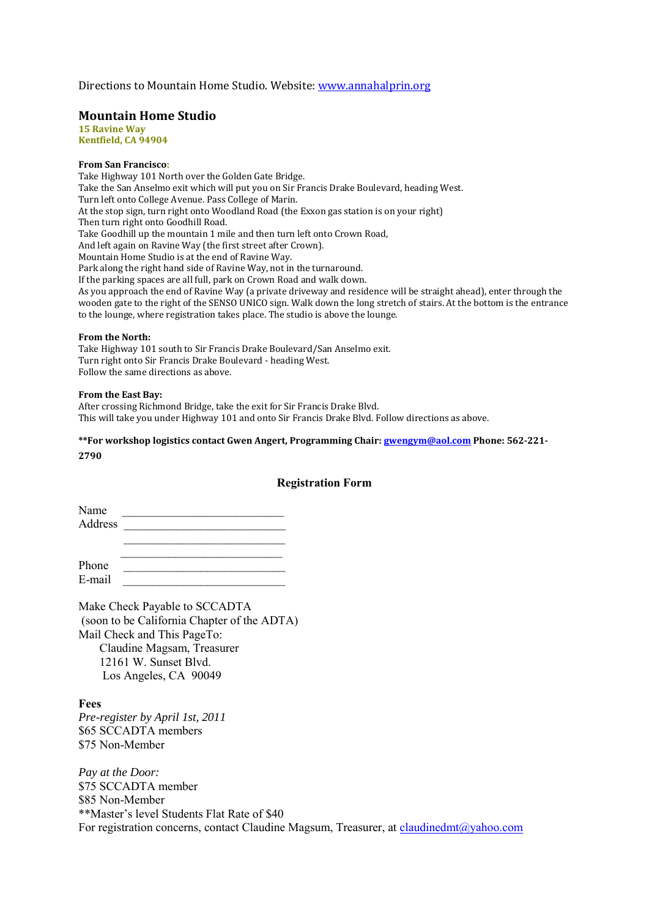Directions to Mountain Home Studio. Website[: www.annahalprin.org](http://www.annahalprin.org/)

#### **Mountain Home Studio**

**15 Ravine Way Kentfield, CA 94904**

#### **From San Francisco:**

Take Highway 101 North over the Golden Gate Bridge. Take the San Anselmo exit which will put you on Sir Francis Drake Boulevard, heading West. Turn left onto College Avenue. Pass College of Marin. At the stop sign, turn right onto Woodland Road (the Exxon gas station is on your right) Then turn right onto Goodhill Road. Take Goodhill up the mountain 1 mile and then turn left onto Crown Road, And left again on Ravine Way (the first street after Crown). Mountain Home Studio is at the end of Ravine Way. Park along the right hand side of Ravine Way, not in the turnaround. If the parking spaces are all full, park on Crown Road and walk down. As you approach the end of Ravine Way (a private driveway and residence will be straight ahead), enter through the wooden gate to the right of the SENSO UNICO sign. Walk down the long stretch of stairs. At the bottom is the entrance to the lounge, where registration takes place. The studio is above the lounge.

#### **From the North:**

Take Highway 101 south to Sir Francis Drake Boulevard/San Anselmo exit. Turn right onto Sir Francis Drake Boulevard - heading West. Follow the same directions as above.

#### **From the East Bay:**

After crossing Richmond Bridge, take the exit for Sir Francis Drake Blvd. This will take you under Highway 101 and onto Sir Francis Drake Blvd. Follow directions as above.

### **\*\*For workshop logistics contact Gwen Angert, Programming Chair[: gwengym@aol.com](mailto:gwengym@aol.com) Phone: 562-221-**

**2790**

#### **Registration Form**

Name \_\_\_\_\_\_\_\_\_\_\_\_\_\_\_\_\_\_\_\_\_\_\_\_\_\_\_ Address \_\_\_\_\_\_\_\_\_\_\_\_\_\_\_\_\_\_\_\_\_\_\_\_\_\_\_

 $\mathcal{L}_\text{max} = \frac{1}{2} \sum_{i=1}^{n} \frac{1}{2} \sum_{i=1}^{n} \frac{1}{2} \sum_{i=1}^{n} \frac{1}{2} \sum_{i=1}^{n} \frac{1}{2} \sum_{i=1}^{n} \frac{1}{2} \sum_{i=1}^{n} \frac{1}{2} \sum_{i=1}^{n} \frac{1}{2} \sum_{i=1}^{n} \frac{1}{2} \sum_{i=1}^{n} \frac{1}{2} \sum_{i=1}^{n} \frac{1}{2} \sum_{i=1}^{n} \frac{1}{2} \sum_{i=1}^{n} \frac{1$ 

 $\frac{1}{2}$  ,  $\frac{1}{2}$  ,  $\frac{1}{2}$  ,  $\frac{1}{2}$  ,  $\frac{1}{2}$  ,  $\frac{1}{2}$  ,  $\frac{1}{2}$  ,  $\frac{1}{2}$  ,  $\frac{1}{2}$  ,  $\frac{1}{2}$  ,  $\frac{1}{2}$  ,  $\frac{1}{2}$  ,  $\frac{1}{2}$  ,  $\frac{1}{2}$  ,  $\frac{1}{2}$  ,  $\frac{1}{2}$  ,  $\frac{1}{2}$  ,  $\frac{1}{2}$  ,  $\frac{1$ Phone \_\_\_\_\_\_\_\_\_\_\_\_\_\_\_\_\_\_\_\_\_\_\_\_\_\_\_  $E$ -mail

Make Check Payable to SCCADTA (soon to be California Chapter of the ADTA) Mail Check and This PageTo: Claudine Magsam, Treasurer 12161 W. Sunset Blvd. Los Angeles, CA 90049

**Fees**  *Pre-register by April 1st, 2011*  \$65 SCCADTA members \$75 Non-Member

*Pay at the Door:*  \$75 SCCADTA member \$85 Non-Member \*\*Master's level Students Flat Rate of \$40 For registration concerns, contact Claudine Magsum, Treasurer, at [claudinedmt@yahoo.com](mailto:claudinedmt@yahoo.com)